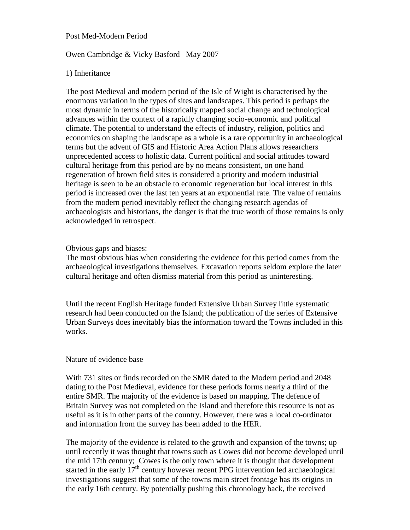Post Med-Modern Period

## Owen Cambridge & Vicky Basford May 2007

## 1) Inheritance

The post Medieval and modern period of the Isle of Wight is characterised by the enormous variation in the types of sites and landscapes. This period is perhaps the most dynamic in terms of the historically mapped social change and technological advances within the context of a rapidly changing socio-economic and political climate. The potential to understand the effects of industry, religion, politics and economics on shaping the landscape as a whole is a rare opportunity in archaeological terms but the advent of GIS and Historic Area Action Plans allows researchers unprecedented access to holistic data. Current political and social attitudes toward cultural heritage from this period are by no means consistent, on one hand regeneration of brown field sites is considered a priority and modern industrial heritage is seen to be an obstacle to economic regeneration but local interest in this period is increased over the last ten years at an exponential rate. The value of remains from the modern period inevitably reflect the changing research agendas of archaeologists and historians, the danger is that the true worth of those remains is only acknowledged in retrospect.

## Obvious gaps and biases:

The most obvious bias when considering the evidence for this period comes from the archaeological investigations themselves. Excavation reports seldom explore the later cultural heritage and often dismiss material from this period as uninteresting.

Until the recent English Heritage funded Extensive Urban Survey little systematic research had been conducted on the Island; the publication of the series of Extensive Urban Surveys does inevitably bias the information toward the Towns included in this works.

## Nature of evidence base

With 731 sites or finds recorded on the SMR dated to the Modern period and 2048 dating to the Post Medieval, evidence for these periods forms nearly a third of the entire SMR. The majority of the evidence is based on mapping. The defence of Britain Survey was not completed on the Island and therefore this resource is not as useful as it is in other parts of the country. However, there was a local co-ordinator and information from the survey has been added to the HER.

The majority of the evidence is related to the growth and expansion of the towns; up until recently it was thought that towns such as Cowes did not become developed until the mid 17th century; Cowes is the only town where it is thought that development started in the early 17<sup>th</sup> century however recent PPG intervention led archaeological investigations suggest that some of the towns main street frontage has its origins in the early 16th century. By potentially pushing this chronology back, the received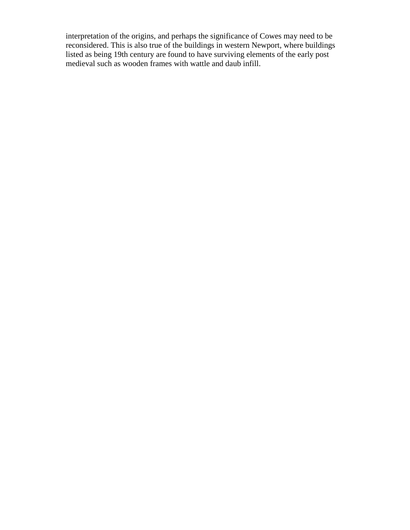interpretation of the origins, and perhaps the significance of Cowes may need to be reconsidered. This is also true of the buildings in western Newport, where buildings listed as being 19th century are found to have surviving elements of the early post medieval such as wooden frames with wattle and daub infill.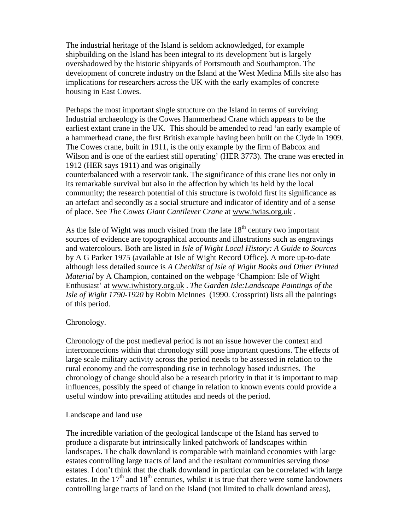The industrial heritage of the Island is seldom acknowledged, for example shipbuilding on the Island has been integral to its development but is largely overshadowed by the historic shipyards of Portsmouth and Southampton. The development of concrete industry on the Island at the West Medina Mills site also has implications for researchers across the UK with the early examples of concrete housing in East Cowes.

Perhaps the most important single structure on the Island in terms of surviving Industrial archaeology is the Cowes Hammerhead Crane which appears to be the earliest extant crane in the UK. This should be amended to read 'an early example of a hammerhead crane, the first British example having been built on the Clyde in 1909. The Cowes crane, built in 1911, is the only example by the firm of Babcox and Wilson and is one of the earliest still operating' (HER 3773). The crane was erected in 1912 (HER says 1911) and was originally

counterbalanced with a reservoir tank. The significance of this crane lies not only in its remarkable survival but also in the affection by which its held by the local community; the research potential of this structure is twofold first its significance as an artefact and secondly as a social structure and indicator of identity and of a sense of place. See *The Cowes Giant Cantilever Crane* at www.iwias.org.uk .

As the Isle of Wight was much visited from the late  $18<sup>th</sup>$  century two important sources of evidence are topographical accounts and illustrations such as engravings and watercolours. Both are listed in *Isle of Wight Local History: A Guide to Sources* by A G Parker 1975 (available at Isle of Wight Record Office). A more up-to-date although less detailed source is *A Checklist of Isle of Wight Books and Other Printed Material* by A Champion, contained on the webpage 'Champion: Isle of Wight Enthusiast' at www.iwhistory.org.uk . *The Garden Isle:Landscape Paintings of the Isle of Wight 1790-1920* by Robin McInnes (1990. Crossprint) lists all the paintings of this period.

## Chronology.

Chronology of the post medieval period is not an issue however the context and interconnections within that chronology still pose important questions. The effects of large scale military activity across the period needs to be assessed in relation to the rural economy and the corresponding rise in technology based industries. The chronology of change should also be a research priority in that it is important to map influences, possibly the speed of change in relation to known events could provide a useful window into prevailing attitudes and needs of the period.

## Landscape and land use

The incredible variation of the geological landscape of the Island has served to produce a disparate but intrinsically linked patchwork of landscapes within landscapes. The chalk downland is comparable with mainland economies with large estates controlling large tracts of land and the resultant communities serving those estates. I don't think that the chalk downland in particular can be correlated with large estates. In the  $17<sup>th</sup>$  and  $18<sup>th</sup>$  centuries, whilst it is true that there were some landowners controlling large tracts of land on the Island (not limited to chalk downland areas),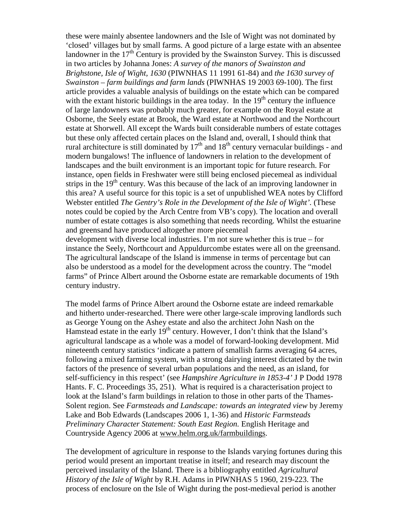these were mainly absentee landowners and the Isle of Wight was not dominated by 'closed' villages but by small farms. A good picture of a large estate with an absentee landowner in the  $17<sup>th</sup>$  Century is provided by the Swainston Survey. This is discussed in two articles by Johanna Jones: *A survey of the manors of Swainston and Brighstone, Isle of Wight, 1630* (PIWNHAS 11 1991 61-84) and *the 1630 survey of Swainston – farm buildings and farm lands* (PIWNHAS 19 2003 69-100). The first article provides a valuable analysis of buildings on the estate which can be compared with the extant historic buildings in the area today. In the  $19<sup>th</sup>$  century the influence of large landowners was probably much greater, for example on the Royal estate at Osborne, the Seely estate at Brook, the Ward estate at Northwood and the Northcourt estate at Shorwell. All except the Wards built considerable numbers of estate cottages but these only affected certain places on the Island and, overall, I should think that rural architecture is still dominated by  $17<sup>th</sup>$  and  $18<sup>th</sup>$  century vernacular buildings - and modern bungalows! The influence of landowners in relation to the development of landscapes and the built environment is an important topic for future research. For instance, open fields in Freshwater were still being enclosed piecemeal as individual strips in the 19<sup>th</sup> century. Was this because of the lack of an improving landowner in this area? A useful source for this topic is a set of unpublished WEA notes by Clifford Webster entitled *The Gentry's Role in the Development of the Isle of Wight'.* (These notes could be copied by the Arch Centre from VB's copy). The location and overall number of estate cottages is also something that needs recording. Whilst the estuarine and greensand have produced altogether more piecemeal development with diverse local industries. I'm not sure whether this is true – for instance the Seely, Northcourt and Appuldurcombe estates were all on the greensand. The agricultural landscape of the Island is immense in terms of percentage but can

also be understood as a model for the development across the country. The "model farms" of Prince Albert around the Osborne estate are remarkable documents of 19th century industry.

The model farms of Prince Albert around the Osborne estate are indeed remarkable and hitherto under-researched. There were other large-scale improving landlords such as George Young on the Ashey estate and also the architect John Nash on the Hamstead estate in the early  $19<sup>th</sup>$  century. However, I don't think that the Island's agricultural landscape as a whole was a model of forward-looking development. Mid nineteenth century statistics 'indicate a pattern of smallish farms averaging 64 acres, following a mixed farming system, with a strong dairying interest dictated by the twin factors of the presence of several urban populations and the need, as an island, for self-sufficiency in this respect' (see *Hampshire Agriculture in 1853-4'* J P Dodd 1978 Hants. F. C. Proceedings 35, 251). What is required is a characterisation project to look at the Island's farm buildings in relation to those in other parts of the Thames-Solent region. See *Farmsteads and Landscape: towards an integrated view* by Jeremy Lake and Bob Edwards (Landscapes 2006 1, 1-36) and *Historic Farmsteads Preliminary Character Statement: South East Region.* English Heritage and Countryside Agency 2006 at www.helm.org.uk/farmbuildings.

The development of agriculture in response to the Islands varying fortunes during this period would present an important treatise in itself; and research may discount the perceived insularity of the Island. There is a bibliography entitled *Agricultural History of the Isle of Wight* by R.H. Adams in PIWNHAS 5 1960, 219-223. The process of enclosure on the Isle of Wight during the post-medieval period is another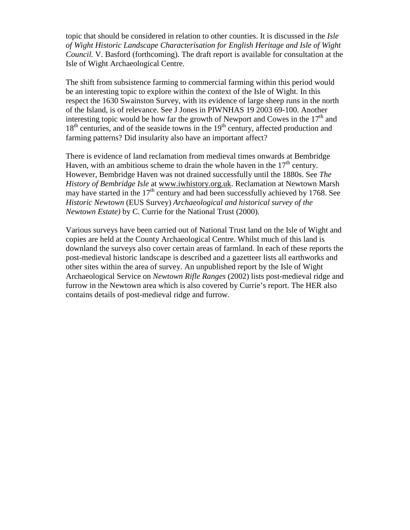topic that should be considered in relation to other counties. It is discussed in the *Isle of Wight Historic Landscape Characterisation for English Heritage and Isle of Wight Council.* V. Basford (forthcoming). The draft report is available for consultation at the Isle of Wight Archaeological Centre.

The shift from subsistence farming to commercial farming within this period would be an interesting topic to explore within the context of the Isle of Wight. In this respect the 1630 Swainston Survey, with its evidence of large sheep runs in the north of the Island, is of relevance. See J Jones in PIWNHAS 19 2003 69-100. Another interesting topic would be how far the growth of Newport and Cowes in the  $17<sup>th</sup>$  and  $18<sup>th</sup>$  centuries, and of the seaside towns in the  $19<sup>th</sup>$  century, affected production and farming patterns? Did insularity also have an important affect?

There is evidence of land reclamation from medieval times onwards at Bembridge Haven, with an ambitious scheme to drain the whole haven in the  $17<sup>th</sup>$  century. However, Bembridge Haven was not drained successfully until the 1880s. See *The History of Bembridge Isle* at www.iwhistory.org.uk. Reclamation at Newtown Marsh may have started in the  $17<sup>th</sup>$  century and had been successfully achieved by 1768. See *Historic Newtown* (EUS Survey) *Archaeological and historical survey of the Newtown Estate)* by C. Currie for the National Trust (2000).

Various surveys have been carried out of National Trust land on the Isle of Wight and copies are held at the County Archaeological Centre. Whilst much of this land is downland the surveys also cover certain areas of farmland. In each of these reports the post-medieval historic landscape is described and a gazetteer lists all earthworks and other sites within the area of survey. An unpublished report by the Isle of Wight Archaeological Service on *Newtown Rifle Ranges* (2002) lists post-medieval ridge and furrow in the Newtown area which is also covered by Currie's report. The HER also contains details of post-medieval ridge and furrow.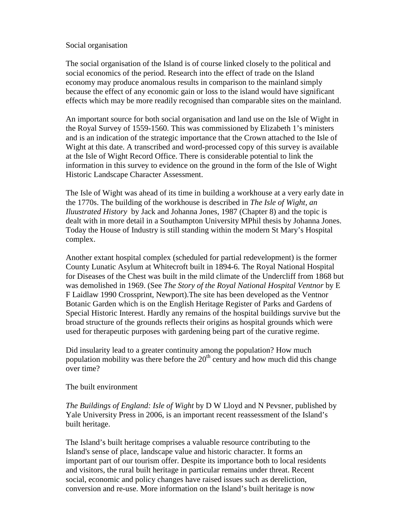## Social organisation

The social organisation of the Island is of course linked closely to the political and social economics of the period. Research into the effect of trade on the Island economy may produce anomalous results in comparison to the mainland simply because the effect of any economic gain or loss to the island would have significant effects which may be more readily recognised than comparable sites on the mainland.

An important source for both social organisation and land use on the Isle of Wight in the Royal Survey of 1559-1560. This was commissioned by Elizabeth 1's ministers and is an indication of the strategic importance that the Crown attached to the Isle of Wight at this date. A transcribed and word-processed copy of this survey is available at the Isle of Wight Record Office. There is considerable potential to link the information in this survey to evidence on the ground in the form of the Isle of Wight Historic Landscape Character Assessment.

The Isle of Wight was ahead of its time in building a workhouse at a very early date in the 1770s. The building of the workhouse is described in *The Isle of Wight, an Iluustrated History* by Jack and Johanna Jones, 1987 (Chapter 8) and the topic is dealt with in more detail in a Southampton University MPhil thesis by Johanna Jones. Today the House of Industry is still standing within the modern St Mary's Hospital complex.

Another extant hospital complex (scheduled for partial redevelopment) is the former County Lunatic Asylum at Whitecroft built in 1894-6. The Royal National Hospital for Diseases of the Chest was built in the mild climate of the Undercliff from 1868 but was demolished in 1969. (See *The Story of the Royal National Hospital Ventnor* by E F Laidlaw 1990 Crossprint, Newport).The site has been developed as the Ventnor Botanic Garden which is on the English Heritage Register of Parks and Gardens of Special Historic Interest. Hardly any remains of the hospital buildings survive but the broad structure of the grounds reflects their origins as hospital grounds which were used for therapeutic purposes with gardening being part of the curative regime.

Did insularity lead to a greater continuity among the population? How much population mobility was there before the  $20<sup>th</sup>$  century and how much did this change over time?

The built environment

*The Buildings of England: Isle of Wight* by D W Lloyd and N Pevsner, published by Yale University Press in 2006, is an important recent reassessment of the Island's built heritage.

The Island's built heritage comprises a valuable resource contributing to the Island's sense of place, landscape value and historic character. It forms an important part of our tourism offer. Despite its importance both to local residents and visitors, the rural built heritage in particular remains under threat. Recent social, economic and policy changes have raised issues such as dereliction, conversion and re-use. More information on the Island's built heritage is now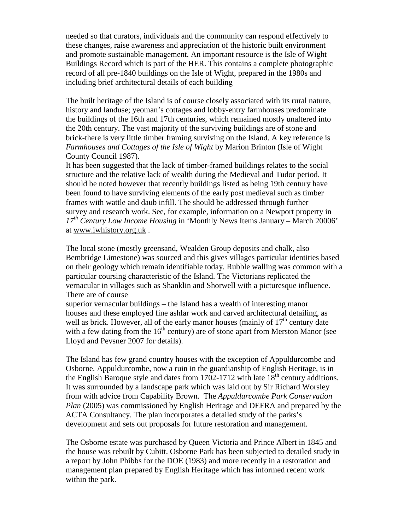needed so that curators, individuals and the community can respond effectively to these changes, raise awareness and appreciation of the historic built environment and promote sustainable management. An important resource is the Isle of Wight Buildings Record which is part of the HER. This contains a complete photographic record of all pre-1840 buildings on the Isle of Wight, prepared in the 1980s and including brief architectural details of each building

The built heritage of the Island is of course closely associated with its rural nature, history and landuse; yeoman's cottages and lobby-entry farmhouses predominate the buildings of the 16th and 17th centuries, which remained mostly unaltered into the 20th century. The vast majority of the surviving buildings are of stone and brick-there is very little timber framing surviving on the Island. A key reference is *Farmhouses and Cottages of the Isle of Wight* by Marion Brinton (Isle of Wight County Council 1987).

It has been suggested that the lack of timber-framed buildings relates to the social structure and the relative lack of wealth during the Medieval and Tudor period. It should be noted however that recently buildings listed as being 19th century have been found to have surviving elements of the early post medieval such as timber frames with wattle and daub infill. The should be addressed through further survey and research work. See, for example, information on a Newport property in *17th Century Low Income Housing* in 'Monthly News Items January – March 20006' at www.iwhistory.org.uk .

The local stone (mostly greensand, Wealden Group deposits and chalk, also Bembridge Limestone) was sourced and this gives villages particular identities based on their geology which remain identifiable today. Rubble walling was common with a particular coursing characteristic of the Island. The Victorians replicated the vernacular in villages such as Shanklin and Shorwell with a picturesque influence. There are of course

superior vernacular buildings – the Island has a wealth of interesting manor houses and these employed fine ashlar work and carved architectural detailing, as well as brick. However, all of the early manor houses (mainly of  $17<sup>th</sup>$  century date with a few dating from the  $16<sup>th</sup>$  century) are of stone apart from Merston Manor (see Lloyd and Pevsner 2007 for details).

The Island has few grand country houses with the exception of Appuldurcombe and Osborne. Appuldurcombe, now a ruin in the guardianship of English Heritage, is in the English Baroque style and dates from 1702-1712 with late  $18<sup>th</sup>$  century additions. It was surrounded by a landscape park which was laid out by Sir Richard Worsley from with advice from Capability Brown. The *Appuldurcombe Park Conservation Plan* (2005) was commissioned by English Heritage and DEFRA and prepared by the ACTA Consultancy. The plan incorporates a detailed study of the parks's development and sets out proposals for future restoration and management.

The Osborne estate was purchased by Queen Victoria and Prince Albert in 1845 and the house was rebuilt by Cubitt. Osborne Park has been subjected to detailed study in a report by John Phibbs for the DOE (1983) and more recently in a restoration and management plan prepared by English Heritage which has informed recent work within the park.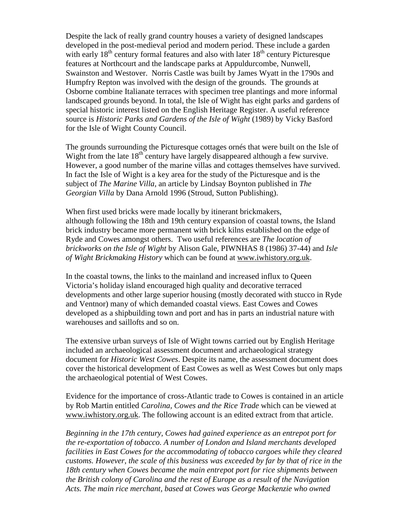Despite the lack of really grand country houses a variety of designed landscapes developed in the post-medieval period and modern period. These include a garden with early  $18<sup>th</sup>$  century formal features and also with later  $18<sup>th</sup>$  century Picturesque features at Northcourt and the landscape parks at Appuldurcombe, Nunwell, Swainston and Westover. Norris Castle was built by James Wyatt in the 1790s and Humpfry Repton was involved with the design of the grounds. The grounds at Osborne combine Italianate terraces with specimen tree plantings and more informal landscaped grounds beyond. In total, the Isle of Wight has eight parks and gardens of special historic interest listed on the English Heritage Register. A useful reference source is *Historic Parks and Gardens of the Isle of Wight* (1989) by Vicky Basford for the Isle of Wight County Council.

The grounds surrounding the Picturesque cottages ornés that were built on the Isle of Wight from the late  $18<sup>th</sup>$  century have largely disappeared although a few survive. However, a good number of the marine villas and cottages themselves have survived. In fact the Isle of Wight is a key area for the study of the Picturesque and is the subject of *The Marine Villa,* an article by Lindsay Boynton published in *The Georgian Villa* by Dana Arnold 1996 (Stroud, Sutton Publishing).

When first used bricks were made locally by itinerant brickmakers, although following the 18th and 19th century expansion of coastal towns, the Island brick industry became more permanent with brick kilns established on the edge of Ryde and Cowes amongst others. Two useful references are *The location of brickworks on the Isle of Wight* by Alison Gale, PIWNHAS 8 (1986) 37-44) and *Isle of Wight Brickmaking History* which can be found at www.iwhistory.org.uk.

In the coastal towns, the links to the mainland and increased influx to Queen Victoria's holiday island encouraged high quality and decorative terraced developments and other large superior housing (mostly decorated with stucco in Ryde and Ventnor) many of which demanded coastal views. East Cowes and Cowes developed as a shipbuilding town and port and has in parts an industrial nature with warehouses and saillofts and so on.

The extensive urban surveys of Isle of Wight towns carried out by English Heritage included an archaeological assessment document and archaeological strategy document for *Historic West Cowes*. Despite its name, the assessment document does cover the historical development of East Cowes as well as West Cowes but only maps the archaeological potential of West Cowes.

Evidence for the importance of cross-Atlantic trade to Cowes is contained in an article by Rob Martin entitled *Carolina, Cowes and the Rice Trade* which can be viewed at www.iwhistory.org.uk. The following account is an edited extract from that article.

*Beginning in the 17th century, Cowes had gained experience as an entrepot port for the re-exportation of tobacco. A number of London and Island merchants developed facilities in East Cowes for the accommodating of tobacco cargoes while they cleared customs. However, the scale of this business was exceeded by far by that of rice in the 18th century when Cowes became the main entrepot port for rice shipments between the British colony of Carolina and the rest of Europe as a result of the Navigation Acts. The main rice merchant, based at Cowes was George Mackenzie who owned*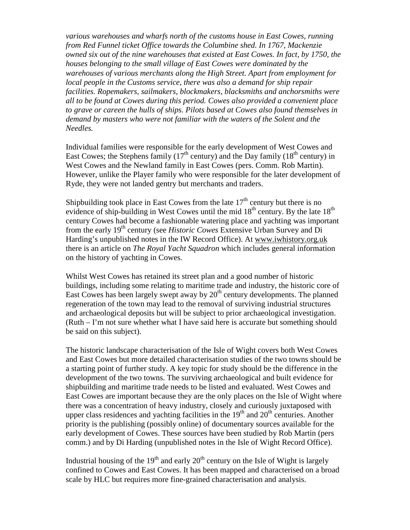*various warehouses and wharfs north of the customs house in East Cowes, running from Red Funnel ticket Office towards the Columbine shed. In 1767, Mackenzie owned six out of the nine warehouses that existed at East Cowes. In fact, by 1750, the houses belonging to the small village of East Cowes were dominated by the warehouses of various merchants along the High Street. Apart from employment for local people in the Customs service, there was also a demand for ship repair facilities. Ropemakers, sailmakers, blockmakers, blacksmiths and anchorsmiths were all to be found at Cowes during this period. Cowes also provided a convenient place to grave or careen the hulls of ships. Pilots based at Cowes also found themselves in demand by masters who were not familiar with the waters of the Solent and the Needles.*

Individual families were responsible for the early development of West Cowes and East Cowes; the Stephens family  $(17<sup>th</sup>$  century) and the Day family  $(18<sup>th</sup>$  century) in West Cowes and the Newland family in East Cowes (pers. Comm. Rob Martin). However, unlike the Player family who were responsible for the later development of Ryde, they were not landed gentry but merchants and traders.

Shipbuilding took place in East Cowes from the late  $17<sup>th</sup>$  century but there is no evidence of ship-building in West Cowes until the mid 18<sup>th</sup> century. By the late 18<sup>th</sup> century Cowes had become a fashionable watering place and yachting was important from the early 19th century (see *Historic Cowes* Extensive Urban Survey and Di Harding's unpublished notes in the IW Record Office). At www.iwhistory.org.uk there is an article on *The Royal Yacht Squadron* which includes general information on the history of yachting in Cowes.

Whilst West Cowes has retained its street plan and a good number of historic buildings, including some relating to maritime trade and industry, the historic core of East Cowes has been largely swept away by  $20<sup>th</sup>$  century developments. The planned regeneration of the town may lead to the removal of surviving industrial structures and archaeological deposits but will be subject to prior archaeological investigation. (Ruth – I'm not sure whether what I have said here is accurate but something should be said on this subject).

The historic landscape characterisation of the Isle of Wight covers both West Cowes and East Cowes but more detailed characterisation studies of the two towns should be a starting point of further study. A key topic for study should be the difference in the development of the two towns. The surviving archaeological and built evidence for shipbuilding and maritime trade needs to be listed and evaluated. West Cowes and East Cowes are important because they are the only places on the Isle of Wight where there was a concentration of heavy industry, closely and curiously juxtaposed with upper class residences and yachting facilities in the  $19<sup>th</sup>$  and  $20<sup>th</sup>$  centuries. Another priority is the publishing (possibly online) of documentary sources available for the early development of Cowes. These sources have been studied by Rob Martin (pers comm.) and by Di Harding (unpublished notes in the Isle of Wight Record Office).

Industrial housing of the  $19<sup>th</sup>$  and early  $20<sup>th</sup>$  century on the Isle of Wight is largely confined to Cowes and East Cowes. It has been mapped and characterised on a broad scale by HLC but requires more fine-grained characterisation and analysis.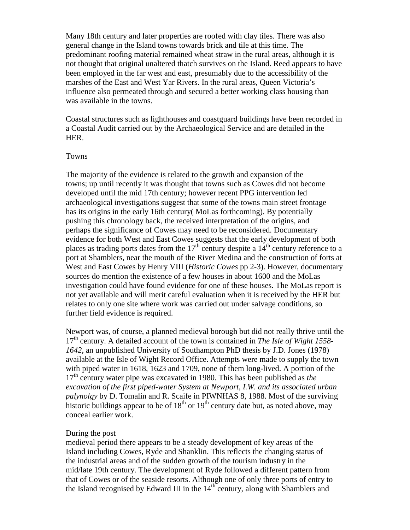Many 18th century and later properties are roofed with clay tiles. There was also general change in the Island towns towards brick and tile at this time. The predominant roofing material remained wheat straw in the rural areas, although it is not thought that original unaltered thatch survives on the Island. Reed appears to have been employed in the far west and east, presumably due to the accessibility of the marshes of the East and West Yar Rivers. In the rural areas, Queen Victoria's influence also permeated through and secured a better working class housing than was available in the towns.

Coastal structures such as lighthouses and coastguard buildings have been recorded in a Coastal Audit carried out by the Archaeological Service and are detailed in the HER.

## Towns

The majority of the evidence is related to the growth and expansion of the towns; up until recently it was thought that towns such as Cowes did not become developed until the mid 17th century; however recent PPG intervention led archaeological investigations suggest that some of the towns main street frontage has its origins in the early 16th century( MoLas forthcoming). By potentially pushing this chronology back, the received interpretation of the origins, and perhaps the significance of Cowes may need to be reconsidered. Documentary evidence for both West and East Cowes suggests that the early development of both places as trading ports dates from the  $17<sup>th</sup>$  century despite a  $14<sup>th</sup>$  century reference to a port at Shamblers, near the mouth of the River Medina and the construction of forts at West and East Cowes by Henry VIII (*Historic Cowes* pp 2-3). However, documentary sources do mention the existence of a few houses in about 1600 and the MoLas investigation could have found evidence for one of these houses. The MoLas report is not yet available and will merit careful evaluation when it is received by the HER but relates to only one site where work was carried out under salvage conditions, so further field evidence is required.

Newport was, of course, a planned medieval borough but did not really thrive until the 17th century. A detailed account of the town is contained in *The Isle of Wight 1558- 1642*, an unpublished University of Southampton PhD thesis by J.D. Jones (1978) available at the Isle of Wight Record Office. Attempts were made to supply the town with piped water in 1618, 1623 and 1709, none of them long-lived. A portion of the 17th century water pipe was excavated in 1980. This has been published as *the excavation of the first piped-water System at Newport, I.W. and its associated urban palynolgy* by D. Tomalin and R. Scaife in PIWNHAS 8, 1988. Most of the surviving historic buildings appear to be of  $18<sup>th</sup>$  or  $19<sup>th</sup>$  century date but, as noted above, may conceal earlier work.

#### During the post

medieval period there appears to be a steady development of key areas of the Island including Cowes, Ryde and Shanklin. This reflects the changing status of the industrial areas and of the sudden growth of the tourism industry in the mid/late 19th century. The development of Ryde followed a different pattern from that of Cowes or of the seaside resorts. Although one of only three ports of entry to the Island recognised by Edward III in the  $14<sup>th</sup>$  century, along with Shamblers and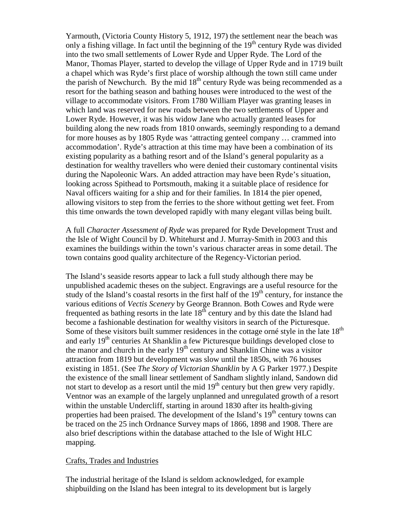Yarmouth, (Victoria County History 5, 1912, 197) the settlement near the beach was only a fishing village. In fact until the beginning of the  $19<sup>th</sup>$  century Ryde was divided into the two small settlements of Lower Ryde and Upper Ryde. The Lord of the Manor, Thomas Player, started to develop the village of Upper Ryde and in 1719 built a chapel which was Ryde's first place of worship although the town still came under the parish of Newchurch. By the mid  $18<sup>th</sup>$  century Ryde was being recommended as a resort for the bathing season and bathing houses were introduced to the west of the village to accommodate visitors. From 1780 William Player was granting leases in which land was reserved for new roads between the two settlements of Upper and Lower Ryde. However, it was his widow Jane who actually granted leases for building along the new roads from 1810 onwards, seemingly responding to a demand for more houses as by 1805 Ryde was 'attracting genteel company … crammed into accommodation'. Ryde's attraction at this time may have been a combination of its existing popularity as a bathing resort and of the Island's general popularity as a destination for wealthy travellers who were denied their customary continental visits during the Napoleonic Wars. An added attraction may have been Ryde's situation, looking across Spithead to Portsmouth, making it a suitable place of residence for Naval officers waiting for a ship and for their families. In 1814 the pier opened, allowing visitors to step from the ferries to the shore without getting wet feet. From this time onwards the town developed rapidly with many elegant villas being built.

A full *Character Assessment of Ryde* was prepared for Ryde Development Trust and the Isle of Wight Council by D. Whitehurst and J. Murray-Smith in 2003 and this examines the buildings within the town's various character areas in some detail. The town contains good quality architecture of the Regency-Victorian period.

The Island's seaside resorts appear to lack a full study although there may be unpublished academic theses on the subject. Engravings are a useful resource for the study of the Island's coastal resorts in the first half of the  $19<sup>th</sup>$  century, for instance the various editions of *Vectis Scenery* by George Brannon. Both Cowes and Ryde were frequented as bathing resorts in the late  $18<sup>th</sup>$  century and by this date the Island had become a fashionable destination for wealthy visitors in search of the Picturesque. Some of these visitors built summer residences in the cottage orné style in the late 18<sup>th</sup> and early 19<sup>th</sup> centuries At Shanklin a few Picturesque buildings developed close to the manor and church in the early  $19<sup>th</sup>$  century and Shanklin Chine was a visitor attraction from 1819 but development was slow until the 1850s, with 76 houses existing in 1851. (See *The Story of Victorian Shanklin* by A G Parker 1977.) Despite the existence of the small linear settlement of Sandham slightly inland, Sandown did not start to develop as a resort until the mid  $19<sup>th</sup>$  century but then grew very rapidly. Ventnor was an example of the largely unplanned and unregulated growth of a resort within the unstable Undercliff, starting in around 1830 after its health-giving properties had been praised. The development of the Island's  $19<sup>th</sup>$  century towns can be traced on the 25 inch Ordnance Survey maps of 1866, 1898 and 1908. There are also brief descriptions within the database attached to the Isle of Wight HLC mapping.

### Crafts, Trades and Industries

The industrial heritage of the Island is seldom acknowledged, for example shipbuilding on the Island has been integral to its development but is largely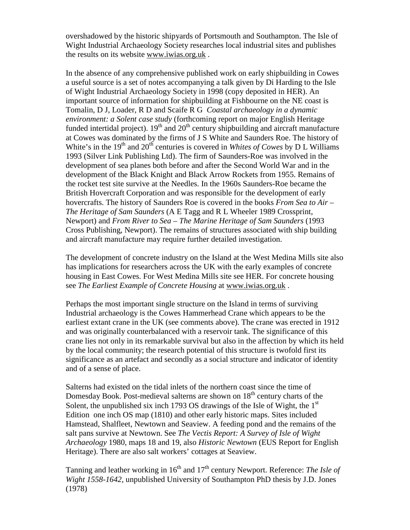overshadowed by the historic shipyards of Portsmouth and Southampton. The Isle of Wight Industrial Archaeology Society researches local industrial sites and publishes the results on its website www.iwias.org.uk .

In the absence of any comprehensive published work on early shipbuilding in Cowes a useful source is a set of notes accompanying a talk given by Di Harding to the Isle of Wight Industrial Archaeology Society in 1998 (copy deposited in HER). An important source of information for shipbuilding at Fishbourne on the NE coast is Tomalin, D J, Loader, R D and Scaife R G *Coastal archaeology in a dynamic environment: a Solent case study* (forthcoming report on major English Heritage funded intertidal project).  $19<sup>th</sup>$  and  $20<sup>th</sup>$  century shipbuilding and aircraft manufacture at Cowes was dominated by the firms of J S White and Saunders Roe. The history of White's in the  $19<sup>th</sup>$  and  $20<sup>th</sup>$  centuries is covered in *Whites of Cowes* by D L Williams 1993 (Silver Link Publishing Ltd). The firm of Saunders-Roe was involved in the development of sea planes both before and after the Second World War and in the development of the Black Knight and Black Arrow Rockets from 1955. Remains of the rocket test site survive at the Needles. In the 1960s Saunders-Roe became the British Hovercraft Corporation and was responsible for the development of early hovercrafts. The history of Saunders Roe is covered in the books *From Sea to Air – The Heritage of Sam Saunders* (A E Tagg and R L Wheeler 1989 Crossprint, Newport) and *From River to Sea – The Marine Heritage of Sam Saunders* (1993 Cross Publishing, Newport). The remains of structures associated with ship building and aircraft manufacture may require further detailed investigation.

The development of concrete industry on the Island at the West Medina Mills site also has implications for researchers across the UK with the early examples of concrete housing in East Cowes. For West Medina Mills site see HER. For concrete housing see *The Earliest Example of Concrete Housing* at www.iwias.org.uk .

Perhaps the most important single structure on the Island in terms of surviving Industrial archaeology is the Cowes Hammerhead Crane which appears to be the earliest extant crane in the UK (see comments above). The crane was erected in 1912 and was originally counterbalanced with a reservoir tank. The significance of this crane lies not only in its remarkable survival but also in the affection by which its held by the local community; the research potential of this structure is twofold first its significance as an artefact and secondly as a social structure and indicator of identity and of a sense of place.

Salterns had existed on the tidal inlets of the northern coast since the time of Domesday Book. Post-medieval salterns are shown on 18<sup>th</sup> century charts of the Solent, the unpublished six inch 1793 OS drawings of the Isle of Wight, the  $1<sup>st</sup>$ Edition one inch OS map (1810) and other early historic maps. Sites included Hamstead, Shalfleet, Newtown and Seaview. A feeding pond and the remains of the salt pans survive at Newtown. See *The Vectis Report: A Survey of Isle of Wight Archaeology* 1980, maps 18 and 19, also *Historic Newtown* (EUS Report for English Heritage). There are also salt workers' cottages at Seaview.

Tanning and leather working in 16<sup>th</sup> and 17<sup>th</sup> century Newport. Reference: *The Isle of Wight 1558-1642*, unpublished University of Southampton PhD thesis by J.D. Jones (1978)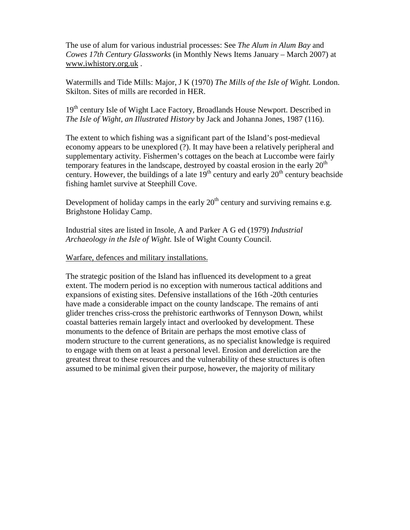The use of alum for various industrial processes: See *The Alum in Alum Bay* and *Cowes 17th Century Glassworks* (in Monthly News Items January – March 2007) at www.iwhistory.org.uk .

Watermills and Tide Mills: Major, J K (1970) *The Mills of the Isle of Wight.* London. Skilton. Sites of mills are recorded in HER.

19<sup>th</sup> century Isle of Wight Lace Factory, Broadlands House Newport. Described in *The Isle of Wight, an Illustrated History* by Jack and Johanna Jones, 1987 (116).

The extent to which fishing was a significant part of the Island's post-medieval economy appears to be unexplored (?). It may have been a relatively peripheral and supplementary activity. Fishermen's cottages on the beach at Luccombe were fairly temporary features in the landscape, destroyed by coastal erosion in the early  $20<sup>th</sup>$ century. However, the buildings of a late  $19<sup>th</sup>$  century and early  $20<sup>th</sup>$  century beachside fishing hamlet survive at Steephill Cove.

Development of holiday camps in the early  $20<sup>th</sup>$  century and surviving remains e.g. Brighstone Holiday Camp.

Industrial sites are listed in Insole, A and Parker A G ed (1979) *Industrial Archaeology in the Isle of Wight.* Isle of Wight County Council.

## Warfare, defences and military installations.

The strategic position of the Island has influenced its development to a great extent. The modern period is no exception with numerous tactical additions and expansions of existing sites. Defensive installations of the 16th -20th centuries have made a considerable impact on the county landscape. The remains of anti glider trenches criss-cross the prehistoric earthworks of Tennyson Down, whilst coastal batteries remain largely intact and overlooked by development. These monuments to the defence of Britain are perhaps the most emotive class of modern structure to the current generations, as no specialist knowledge is required to engage with them on at least a personal level. Erosion and dereliction are the greatest threat to these resources and the vulnerability of these structures is often assumed to be minimal given their purpose, however, the majority of military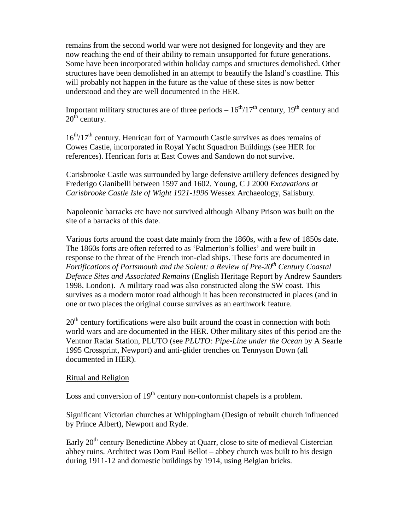remains from the second world war were not designed for longevity and they are now reaching the end of their ability to remain unsupported for future generations. Some have been incorporated within holiday camps and structures demolished. Other structures have been demolished in an attempt to beautify the Island's coastline. This will probably not happen in the future as the value of these sites is now better understood and they are well documented in the HER.

Important military structures are of three periods  $-16<sup>th</sup>/17<sup>th</sup>$  century, 19<sup>th</sup> century and  $20<sup>th</sup>$  century.

 $16<sup>th</sup>/17<sup>th</sup>$  century. Henrican fort of Yarmouth Castle survives as does remains of Cowes Castle, incorporated in Royal Yacht Squadron Buildings (see HER for references). Henrican forts at East Cowes and Sandown do not survive.

 Carisbrooke Castle was surrounded by large defensive artillery defences designed by Frederigo Gianibelli between 1597 and 1602. Young, C J 2000 *Excavations at Carisbrooke Castle Isle of Wight 1921-1996* Wessex Archaeology, Salisbury.

 Napoleonic barracks etc have not survived although Albany Prison was built on the site of a barracks of this date.

 Various forts around the coast date mainly from the 1860s, with a few of 1850s date. The 1860s forts are often referred to as 'Palmerton's follies' and were built in response to the threat of the French iron-clad ships. These forts are documented in *Fortifications of Portsmouth and the Solent: a Review of Pre-20th Century Coastal Defence Sites and Associated Remains* (English Heritage Report by Andrew Saunders 1998. London). A military road was also constructed along the SW coast. This survives as a modern motor road although it has been reconstructed in places (and in one or two places the original course survives as an earthwork feature.

 $20<sup>th</sup>$  century fortifications were also built around the coast in connection with both world wars and are documented in the HER. Other military sites of this period are the Ventnor Radar Station, PLUTO (see *PLUTO: Pipe-Line under the Ocean* by A Searle 1995 Crossprint, Newport) and anti-glider trenches on Tennyson Down (all documented in HER).

## Ritual and Religion

Loss and conversion of  $19<sup>th</sup>$  century non-conformist chapels is a problem.

 Significant Victorian churches at Whippingham (Design of rebuilt church influenced by Prince Albert), Newport and Ryde.

Early  $20<sup>th</sup>$  century Benedictine Abbey at Quarr, close to site of medieval Cistercian abbey ruins. Architect was Dom Paul Bellot – abbey church was built to his design during 1911-12 and domestic buildings by 1914, using Belgian bricks.